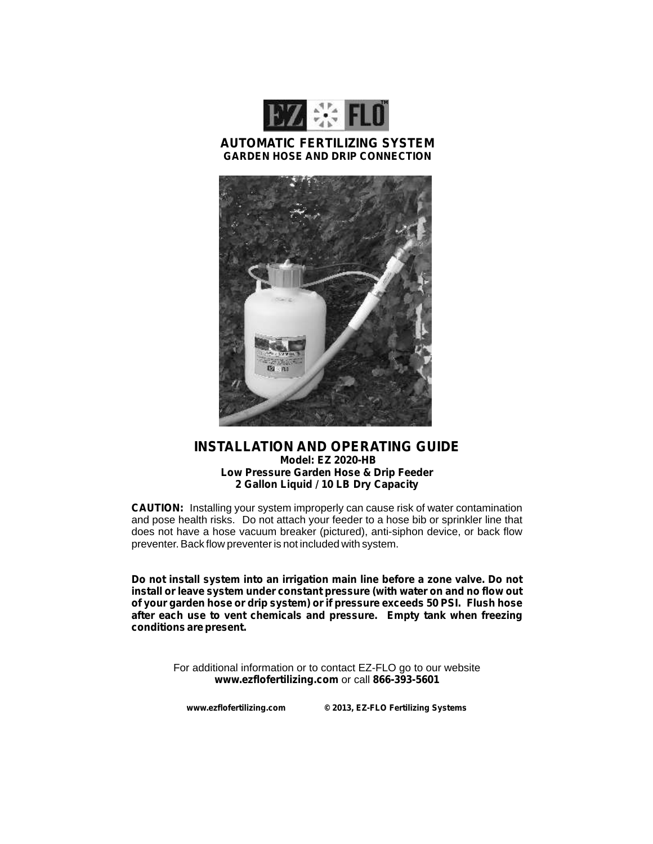

### **AUTOMATIC FERTILIZING SYSTEM GARDEN HOSE AND DRIP CONNECTION**



### **INSTALLATION AND OPERATING GUIDE Model: EZ 2020-HB Low Pressure Garden Hose & Drip Feeder 2 Gallon Liquid / 10 LB Dry Capacity**

**CAUTION:** Installing your system improperly can cause risk of water contamination and pose health risks. Do not attach your feeder to a hose bib or sprinkler line that does not have a hose vacuum breaker (pictured), anti-siphon device, or back flow preventer. Back flow preventer is not included with system.

**Do not install system into an irrigation main line before a zone valve. Do not install or leave system under constant pressure (with water on and no flow out of your garden hose or drip system) or if pressure exceeds 50 PSI. Flush hose after each use to vent chemicals and pressure. Empty tank when freezing conditions are present.**

> For additional information or to contact EZ-FLO go to our website **www.ezflofertilizing.com** or call **866-393-5601**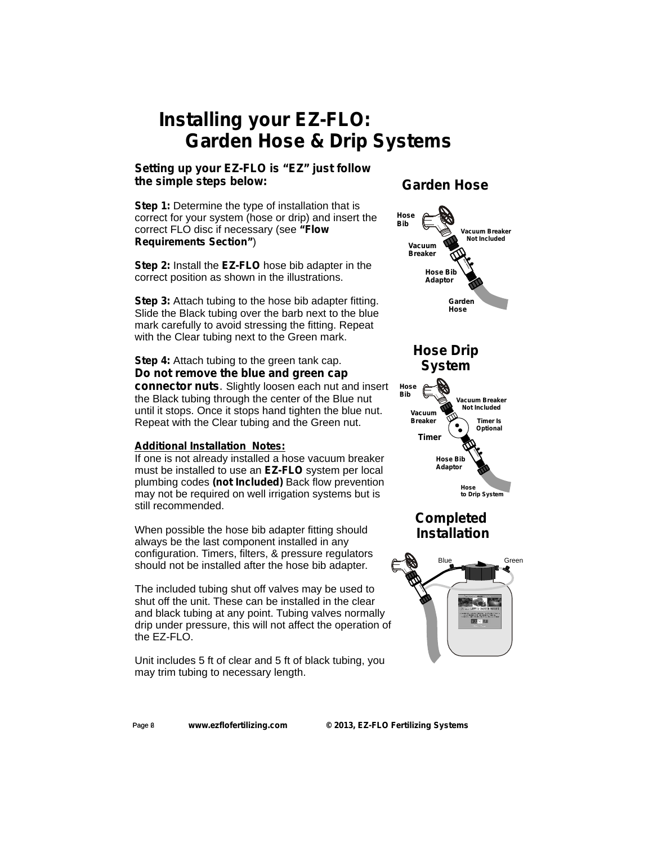## *Installing your EZ-FLO: Garden Hose & Drip Systems*

## **Setting up your** *EZ-FLO* **is "***EZ" just follow the simple steps below:*

**Step 1:** Determine the type of installation that is correct for your system (hose or drip) and insert the correct FLO disc if necessary (see *"Flow Requirements Section"*)

**Step 2:** Install the *EZ-FLO* hose bib adapter in the correct position as shown in the illustrations.

**Step 3:** Attach tubing to the hose bib adapter fitting. Slide the Black tubing over the barb next to the blue mark carefully to avoid stressing the fitting. Repeat with the Clear tubing next to the Green mark.

### **Step 4:** Attach tubing to the green tank cap. *Do not remove the blue and green cap connector nuts.* Slightly loosen each nut and insert the Black tubing through the center of the Blue nut until it stops. Once it stops hand tighten the blue nut. Repeat with the Clear tubing and the Green nut.

### **Additional Installation Notes:**

If one is not already installed a hose vacuum breaker must be installed to use an *EZ-FLO* system per local plumbing codes *(not Included)* Back flow prevention may not be required on well irrigation systems but is still recommended.

When possible the hose bib adapter fitting should always be the last component installed in any configuration. Timers, filters, & pressure regulators should not be installed after the hose bib adapter.

The included tubing shut off valves may be used to shut off the unit. These can be installed in the clear and black tubing at any point. Tubing valves normally drip under pressure, this will not affect the operation of the EZ-FLO.

Unit includes 5 ft of clear and 5 ft of black tubing, you may trim tubing to necessary length.

## *Garden Hose*



Page **8**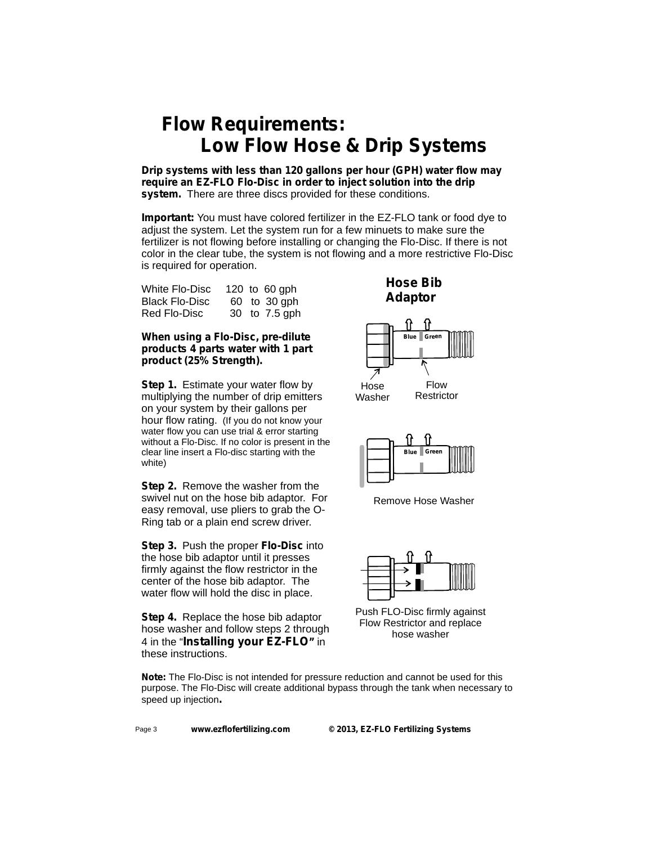## *Flow Requirements: Low Flow Hose & Drip Systems*

**Drip systems with less than 120 gallons per hour (GPH) water flow may require an EZ-FLO** *Flo-Disc* **in order to inject solution into the drip system.** There are three discs provided for these conditions.

**Important:** You must have colored fertilizer in the EZ-FLO tank or food dye to adjust the system. Let the system run for a few minuets to make sure the fertilizer is not flowing before installing or changing the Flo-Disc. If there is not color in the clear tube, the system is not flowing and a more restrictive Flo-Disc is required for operation.

| White Flo-Disc        |  | 120 to 60 gph |
|-----------------------|--|---------------|
| <b>Black Flo-Disc</b> |  | 60 to 30 gph  |
| Red Flo-Disc          |  | 30 to 7.5 gph |

### *When using a Flo-Disc, pre-dilute products 4 parts water with 1 part product (25% Strength).*

**Step 1.** Estimate your water flow by multiplying the number of drip emitters on your system by their gallons per hour flow rating. (If you do not know your water flow you can use trial & error starting without a Flo-Disc. If no color is present in the clear line insert a Flo-disc starting with the white)

**Step 2.** Remove the washer from the swivel nut on the hose bib adaptor. For easy removal, use pliers to grab the O-Ring tab or a plain end screw driver.

**Step 3.** Push the proper *Flo-Disc* into the hose bib adaptor until it presses firmly against the flow restrictor in the center of the hose bib adaptor. The water flow will hold the disc in place.

**Step 4.** Replace the hose bib adaptor hose washer and follow steps 2 through 4 in the "*Installing your EZ-FLO"* in these instructions.

## **Hose Bib Adaptor**





Remove Hose Washer



Push FLO-Disc firmly against Flow Restrictor and replace hose washer

**Note:** The Flo-Disc is not intended for pressure reduction and cannot be used for this purpose. The Flo-Disc will create additional bypass through the tank when necessary to speed up injection**.**

Page 3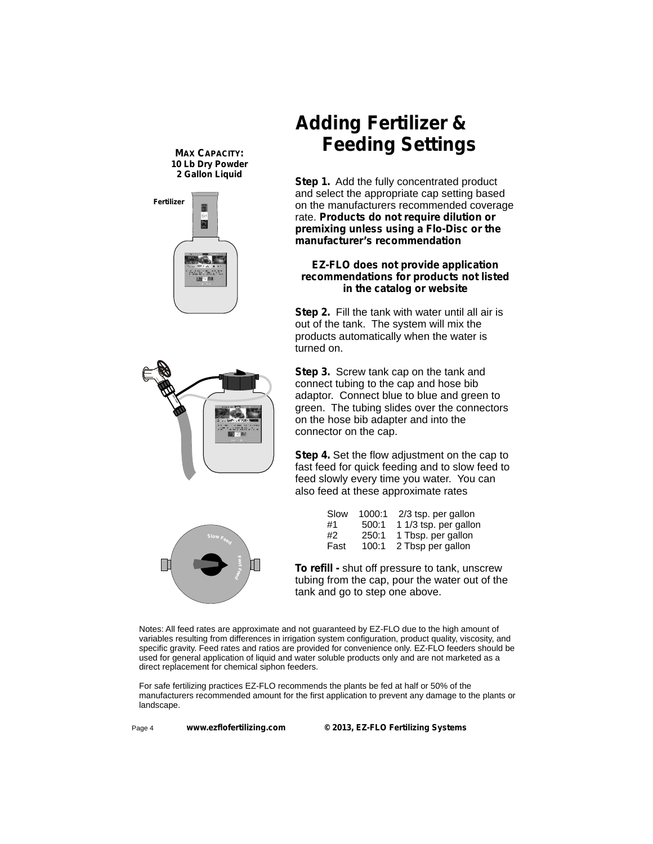**MAX CAPACITY:** *10 Lb Dry Powder 2 Gallon Liquid*



# *Adding Fertilizer & Feeding Settings*

**Step 1.** Add the fully concentrated product and select the appropriate cap setting based on the manufacturers recommended coverage rate. *Products do not require dilution or premixing unless using a Flo-Disc or the manufacturer's recommendation*

### **EZ-FLO does not provide application recommendations for products not listed in the catalog or website**

**Step 2.** Fill the tank with water until all air is out of the tank. The system will mix the products automatically when the water is turned on.



**Step 3.** Screw tank cap on the tank and connect tubing to the cap and hose bib adaptor. Connect blue to blue and green to green. The tubing slides over the connectors on the hose bib adapter and into the connector on the cap.

**Step 4.** Set the flow adjustment on the cap to fast feed for quick feeding and to slow feed to feed slowly every time you water. You can also feed at these approximate rates

|      | 1000:1<br>Slow | 2/3 tsp. per gallon   |
|------|----------------|-----------------------|
| #1   | 500:1          | 1 1/3 tsp. per gallon |
| #2   | 250:1          | 1 Tbsp. per gallon    |
| Fast | 100:1          | 2 Tbsp per gallon     |
|      |                |                       |

**To refill -** shut off pressure to tank, unscrew tubing from the cap, pour the water out of the tank and go to step one above.

Notes: All feed rates are approximate and not guaranteed by EZ-FLO due to the high amount of variables resulting from differences in irrigation system configuration, product quality, viscosity, and specific gravity. Feed rates and ratios are provided for convenience only. EZ-FLO feeders should be used for general application of liquid and water soluble products only and are not marketed as a direct replacement for chemical siphon feeders.

For safe fertilizing practices EZ-FLO recommends the plants be fed at half or 50% of the manufacturers recommended amount for the first application to prevent any damage to the plants or landscape.

Page 4

**FaFeed**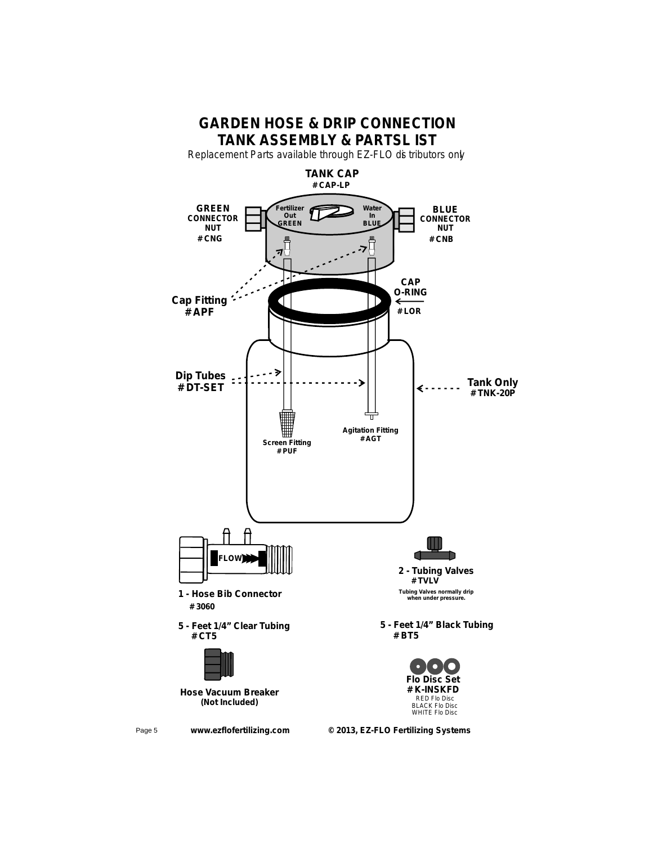